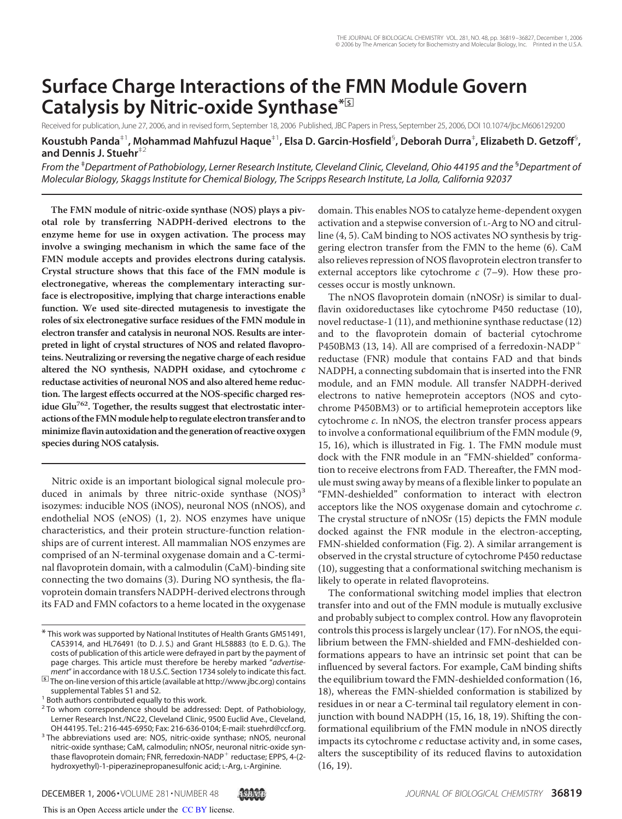# **Surface Charge Interactions of the FMN Module Govern Catalysis by Nitric-oxide Synthase\***□**<sup>S</sup>**

Received for publication, June 27, 2006, and in revised form, September 18, 2006 Published, JBC Papers in Press, September 25, 2006, DOI 10.1074/jbc.M606129200 **Koustubh Panda**‡1**, Mohammad Mahfuzul Haque**‡1**, Elsa D. Garcin-Hosfield**§ **, Deborah Durra**‡ **, Elizabeth D. Getzoff**§ **, and Dennis J. Stuehr**‡2

*From the* ‡*Department of Pathobiology, Lerner Research Institute, Cleveland Clinic, Cleveland, Ohio 44195 and the* §*Department of Molecular Biology, Skaggs Institute for Chemical Biology, The Scripps Research Institute, La Jolla, California 92037*

**The FMN module of nitric-oxide synthase (NOS) plays a pivotal role by transferring NADPH-derived electrons to the enzyme heme for use in oxygen activation. The process may involve a swinging mechanism in which the same face of the FMN module accepts and provides electrons during catalysis. Crystal structure shows that this face of the FMN module is electronegative, whereas the complementary interacting surface is electropositive, implying that charge interactions enable function. We used site-directed mutagenesis to investigate the roles of six electronegative surface residues of the FMN module in electron transfer and catalysis in neuronal NOS. Results are interpreted in light of crystal structures of NOS and related flavoproteins. Neutralizing or reversing the negative charge of each residue altered the NO synthesis, NADPH oxidase, and cytochrome c reductase activities of neuronal NOS and also altered heme reduction. The largest effects occurred at the NOS-specific charged residue Glu762. Together, the results suggest that electrostatic inter**actions of the FMN module help to regulate electron transfer and to **minimize flavin autoxidation and the generation of reactive oxygen species during NOS catalysis.**

Nitric oxide is an important biological signal molecule produced in animals by three nitric-oxide synthase  $(NOS)^3$ isozymes: inducible NOS (iNOS), neuronal NOS (nNOS), and endothelial NOS (eNOS) (1, 2). NOS enzymes have unique characteristics, and their protein structure-function relationships are of current interest. All mammalian NOS enzymes are comprised of an N-terminal oxygenase domain and a C-terminal flavoprotein domain, with a calmodulin (CaM)-binding site connecting the two domains (3). During NO synthesis, the flavoprotein domain transfers NADPH-derived electrons through its FAD and FMN cofactors to a heme located in the oxygenase

supplemental Tables S1 and S2.

<sup>3</sup> The abbreviations used are: NOS, nitric-oxide synthase; nNOS, neuronal nitric-oxide synthase; CaM, calmodulin; nNOSr, neuronal nitric-oxide synthase flavoprotein domain; FNR, ferredoxin-NADP reductase; EPPS, 4-(2 hydroxyethyl)-1-piperazinepropanesulfonic acid; L-Arg, L-Arginine.



The nNOS flavoprotein domain (nNOSr) is similar to dualflavin oxidoreductases like cytochrome P450 reductase (10), novel reductase-1 (11), and methionine synthase reductase (12) and to the flavoprotein domain of bacterial cytochrome P450BM3 (13, 14). All are comprised of a ferredoxin-NADP<sup>+</sup> reductase (FNR) module that contains FAD and that binds NADPH, a connecting subdomain that is inserted into the FNR module, and an FMN module. All transfer NADPH-derived electrons to native hemeprotein acceptors (NOS and cytochrome P450BM3) or to artificial hemeprotein acceptors like cytochrome c. In nNOS, the electron transfer process appears to involve a conformational equilibrium of the FMN module (9, 15, 16), which is illustrated in Fig. 1. The FMN module must dock with the FNR module in an "FMN-shielded" conformation to receive electrons from FAD. Thereafter, the FMN module must swing away by means of a flexible linker to populate an "FMN-deshielded" conformation to interact with electron acceptors like the NOS oxygenase domain and cytochrome c. The crystal structure of nNOSr (15) depicts the FMN module docked against the FNR module in the electron-accepting, FMN-shielded conformation (Fig. 2). A similar arrangement is observed in the crystal structure of cytochrome P450 reductase (10), suggesting that a conformational switching mechanism is likely to operate in related flavoproteins.

The conformational switching model implies that electron transfer into and out of the FMN module is mutually exclusive and probably subject to complex control. How any flavoprotein controls this process is largely unclear (17). For nNOS, the equilibrium between the FMN-shielded and FMN-deshielded conformations appears to have an intrinsic set point that can be influenced by several factors. For example, CaM binding shifts the equilibrium toward the FMN-deshielded conformation (16, 18), whereas the FMN-shielded conformation is stabilized by residues in or near a C-terminal tail regulatory element in conjunction with bound NADPH (15, 16, 18, 19). Shifting the conformational equilibrium of the FMN module in nNOS directly impacts its cytochrome c reductase activity and, in some cases, alters the susceptibility of its reduced flavins to autoxidation (16, 19).

<sup>\*</sup> This work was supported by National Institutes of Health Grants GM51491, CA53914, and HL76491 (to D. J. S.) and Grant HL58883 (to E. D. G.). The costs of publication of this article were defrayed in part by the payment of page charges. This article must therefore be hereby marked "*advertisement*" in accordance with 18 U.S.C. Section 1734 solely to indicate this fact. □**S** The on-line version of this article (available at http://www.jbc.org) contains

<sup>&</sup>lt;sup>1</sup> Both authors contributed equally to this work.

<sup>&</sup>lt;sup>2</sup> To whom correspondence should be addressed: Dept. of Pathobiology, Lerner Research Inst./NC22, Cleveland Clinic, 9500 Euclid Ave., Cleveland, OH 44195. Tel.: 216-445-6950; Fax: 216-636-0104; E-mail: stuehrd@ccf.org.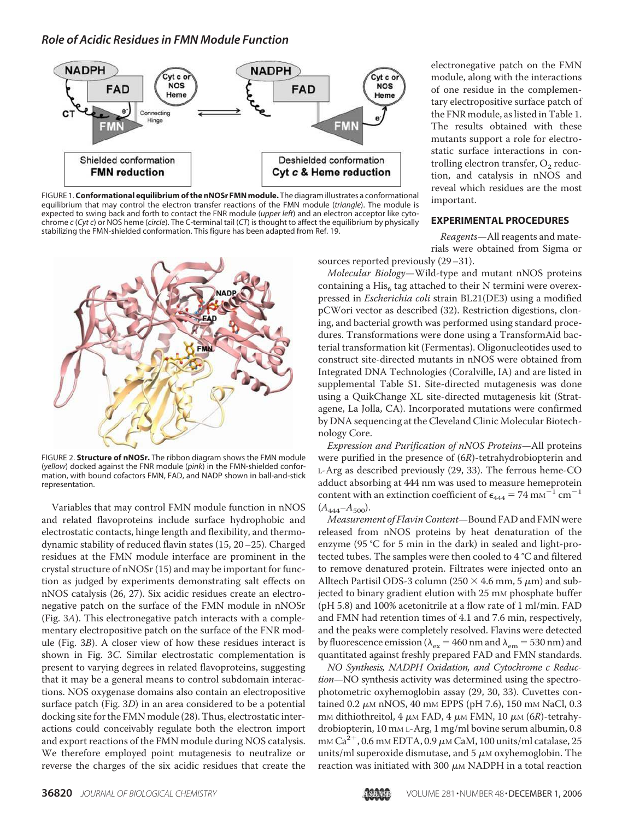

FIGURE 1. **Conformational equilibrium of the nNOSr FMN module.** The diagram illustrates a conformational equilibrium that may control the electron transfer reactions of the FMN module (*triangle*). The module is expected to swing back and forth to contact the FNR module (*upper left*) and an electron acceptor like cytochrome *c* (*Cyt c*) or NOS heme (*circle*). The C-terminal tail (*CT*) is thought to affect the equilibrium by physically stabilizing the FMN-shielded conformation. This figure has been adapted from Ref. 19.



FIGURE 2. **Structure of nNOSr.** The ribbon diagram shows the FMN module (*yellow*) docked against the FNR module (*pink*) in the FMN-shielded conformation, with bound cofactors FMN, FAD, and NADP shown in ball-and-stick representation.

Variables that may control FMN module function in nNOS and related flavoproteins include surface hydrophobic and electrostatic contacts, hinge length and flexibility, and thermodynamic stability of reduced flavin states (15, 20–25). Charged residues at the FMN module interface are prominent in the crystal structure of nNOSr (15) and may be important for function as judged by experiments demonstrating salt effects on nNOS catalysis (26, 27). Six acidic residues create an electronegative patch on the surface of the FMN module in nNOSr (Fig. 3A). This electronegative patch interacts with a complementary electropositive patch on the surface of the FNR module (Fig. 3B). A closer view of how these residues interact is shown in Fig. 3C. Similar electrostatic complementation is present to varying degrees in related flavoproteins, suggesting that it may be a general means to control subdomain interactions. NOS oxygenase domains also contain an electropositive surface patch (Fig. 3D) in an area considered to be a potential docking site for the FMN module (28). Thus, electrostatic interactions could conceivably regulate both the electron import and export reactions of the FMN module during NOS catalysis. We therefore employed point mutagenesis to neutralize or reverse the charges of the six acidic residues that create the

electronegative patch on the FMN module, along with the interactions of one residue in the complementary electropositive surface patch of the FNR module, as listed in Table 1. The results obtained with these mutants support a role for electrostatic surface interactions in controlling electron transfer,  $\mathrm{O}_2$  reduction, and catalysis in nNOS and reveal which residues are the most important.

#### **EXPERIMENTAL PROCEDURES**

Reagents—All reagents and materials were obtained from Sigma or sources reported previously (29–31).

Molecular Biology—Wild-type and mutant nNOS proteins containing a  $\mathrm{His}_6$  tag attached to their N termini were overexpressed in Escherichia coli strain BL21(DE3) using a modified pCWori vector as described (32). Restriction digestions, cloning, and bacterial growth was performed using standard procedures. Transformations were done using a TransformAid bacterial transformation kit (Fermentas). Oligonucleotides used to construct site-directed mutants in nNOS were obtained from Integrated DNA Technologies (Coralville, IA) and are listed in supplemental Table S1. Site-directed mutagenesis was done using a QuikChange XL site-directed mutagenesis kit (Stratagene, La Jolla, CA). Incorporated mutations were confirmed by DNA sequencing at the Cleveland Clinic Molecular Biotechnology Core.

Expression and Purification of nNOS Proteins—All proteins were purified in the presence of (6R)-tetrahydrobiopterin and L-Arg as described previously (29, 33). The ferrous heme-CO adduct absorbing at 444 nm was used to measure hemeprotein content with an extinction coefficient of  $\epsilon_{444} = 74 \text{ mm}^{-1} \text{ cm}^{-1}$  $(A_{444}-A_{500}).$ 

Measurement of Flavin Content—Bound FAD and FMN were released from nNOS proteins by heat denaturation of the enzyme (95 °C for 5 min in the dark) in sealed and light-protected tubes. The samples were then cooled to 4 °C and filtered to remove denatured protein. Filtrates were injected onto an Alltech Partisil ODS-3 column (250  $\times$  4.6 mm, 5  $\mu$ m) and subjected to binary gradient elution with 25 mm phosphate buffer (pH 5.8) and 100% acetonitrile at a flow rate of 1 ml/min. FAD and FMN had retention times of 4.1 and 7.6 min, respectively, and the peaks were completely resolved. Flavins were detected by fluorescence emission ( $\lambda_{\text{ex}} = 460$  nm and  $\lambda_{\text{em}} = 530$  nm) and quantitated against freshly prepared FAD and FMN standards.

NO Synthesis, NADPH Oxidation, and Cytochrome c Reduction—NO synthesis activity was determined using the spectrophotometric oxyhemoglobin assay (29, 30, 33). Cuvettes contained 0.2 µm nNOS, 40 mm EPPS (pH 7.6), 150 mm NaCl, 0.3 mм dithiothreitol, 4  $\mu$ м FAD, 4  $\mu$ м FMN, 10  $\mu$ м (6R)-tetrahydrobiopterin, 10 mm L-Arg, 1 mg/ml bovine serum albumin, 0.8 mm  $Ca^{2+}$ , 0.6 mm EDTA, 0.9  $\mu$ m CaM, 100 units/ml catalase, 25 units/ml superoxide dismutase, and 5  $\mu$ m oxyhemoglobin. The reaction was initiated with 300  $\mu$ m NADPH in a total reaction

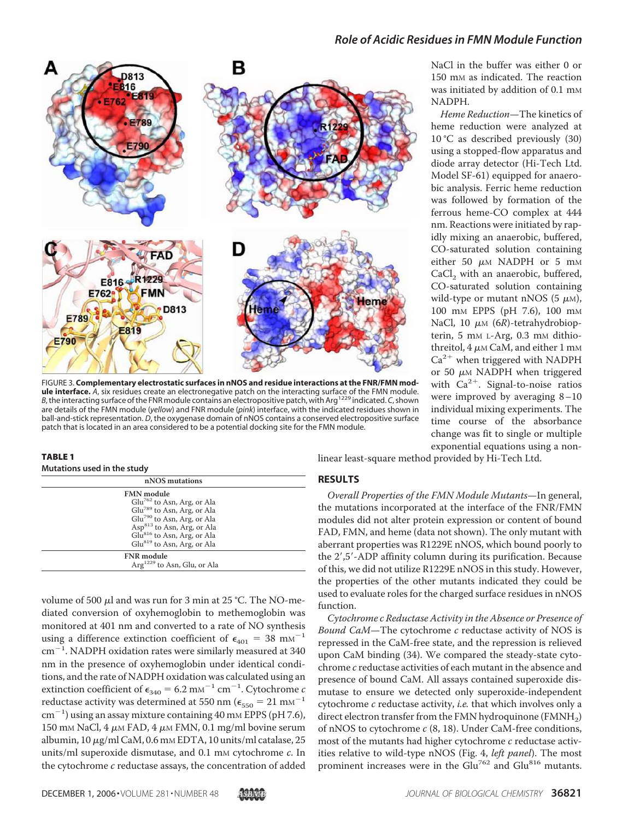

FIGURE 3. **Complementary electrostatic surfaces in nNOS and residue interactions at the FNR/FMN module interface.** *A*, six residues create an electronegative patch on the interacting surface of the FMN module. *B*, the interacting surface of the FNR module contains an electropositive patch, with Arg<sup>1229</sup> indicated. *C*, shown are details of the FMN module (*yellow*) and FNR module (*pink*) interface, with the indicated residues shown in ball-and-stick representation. *D*, the oxygenase domain of nNOS contains a conserved electropositive surface patch that is located in an area considered to be a potential docking site for the FMN module.

#### TABLE 1

#### **Mutations used in the study**

| nNOS mutations                          |  |  |  |
|-----------------------------------------|--|--|--|
| <b>FMN</b> module                       |  |  |  |
| $Glu^{762}$ to Asn, Arg, or Ala         |  |  |  |
| Glu <sup>789</sup> to Asn, Arg, or Ala  |  |  |  |
| $Glu^{790}$ to Asn, Arg, or Ala         |  |  |  |
| Asp <sup>813</sup> to Asn, Arg, or Ala  |  |  |  |
| Glu <sup>816</sup> to Asn, Arg, or Ala  |  |  |  |
| $Glu^{819}$ to Asn, Arg, or Ala         |  |  |  |
| <b>FNR</b> module                       |  |  |  |
| Arg <sup>1229</sup> to Asn, Glu, or Ala |  |  |  |

volume of 500  $\mu$ l and was run for 3 min at 25 °C. The NO-mediated conversion of oxyhemoglobin to methemoglobin was monitored at 401 nm and converted to a rate of NO synthesis using a difference extinction coefficient of  $\epsilon_{401} = 38 \text{ mm}^{-1}$ cm<sup>-1</sup>. NADPH oxidation rates were similarly measured at 340 nm in the presence of oxyhemoglobin under identical conditions, and the rate of NADPH oxidation was calculated using an extinction coefficient of  $\epsilon_{340} = 6.2 \text{ mm}^{-1} \text{ cm}^{-1}$ . Cytochrome c reductase activity was determined at 550 nm ( $\epsilon_{550} = 21 \text{ mm}^{-1}$  $\text{cm}^{-1}$ ) using an assay mixture containing 40 mm EPPS (pH 7.6), 150 mm NaCl, 4  $\mu$ m FAD, 4  $\mu$ m FMN, 0.1 mg/ml bovine serum albumin, 10  $\mu$ g/ml CaM, 0.6 mm EDTA, 10 units/ml catalase, 25 units/ml superoxide dismutase, and  $0.1$  mm cytochrome  $c$ . In the cytochrome c reductase assays, the concentration of added

linear least-square method provided by Hi-Tech Ltd.

### **RESULTS**

Overall Properties of the FMN Module Mutants—In general, the mutations incorporated at the interface of the FNR/FMN modules did not alter protein expression or content of bound FAD, FMN, and heme (data not shown). The only mutant with aberrant properties was R1229E nNOS, which bound poorly to the 2',5'-ADP affinity column during its purification. Because of this, we did not utilize R1229E nNOS in this study. However, the properties of the other mutants indicated they could be used to evaluate roles for the charged surface residues in nNOS function.

Cytochrome c Reductase Activity in the Absence or Presence of Bound CaM—The cytochrome c reductase activity of NOS is repressed in the CaM-free state, and the repression is relieved upon CaM binding (34). We compared the steady-state cytochrome c reductase activities of each mutant in the absence and presence of bound CaM. All assays contained superoxide dismutase to ensure we detected only superoxide-independent cytochrome c reductase activity, i.e. that which involves only a direct electron transfer from the FMN hydroquinone (FMNH<sub>2</sub>) of nNOS to cytochrome  $c$  (8, 18). Under CaM-free conditions, most of the mutants had higher cytochrome c reductase activities relative to wild-type nNOS (Fig. 4, *left panel*). The most prominent increases were in the Glu<sup>762</sup> and Glu<sup>816</sup> mutants.

Heme Reduction—The kinetics of heme reduction were analyzed at 10 °C as described previously (30) using a stopped-flow apparatus and diode array detector (Hi-Tech Ltd. Model SF-61) equipped for anaerobic analysis. Ferric heme reduction was followed by formation of the ferrous heme-CO complex at 444 nm. Reactions were initiated by rapidly mixing an anaerobic, buffered, CO-saturated solution containing either 50  $\mu$ M NADPH or 5 mM CaCl<sub>2</sub> with an anaerobic, buffered, CO-saturated solution containing wild-type or mutant nNOS (5  $\mu$ M), 100 mM EPPS (pH 7.6), 100 mM NaCl,  $10 \mu M$  (6R)-tetrahydrobiopterin, 5 mm L-Arg, 0.3 mm dithiothreitol, 4  $\mu$ м CaM, and either 1 mм  $Ca<sup>2+</sup>$  when triggered with NADPH or 50  $\mu$ M NADPH when triggered with  $Ca^{2+}$ . Signal-to-noise ratios were improved by averaging 8–10 individual mixing experiments. The time course of the absorbance change was fit to single or multiple exponential equations using a non-

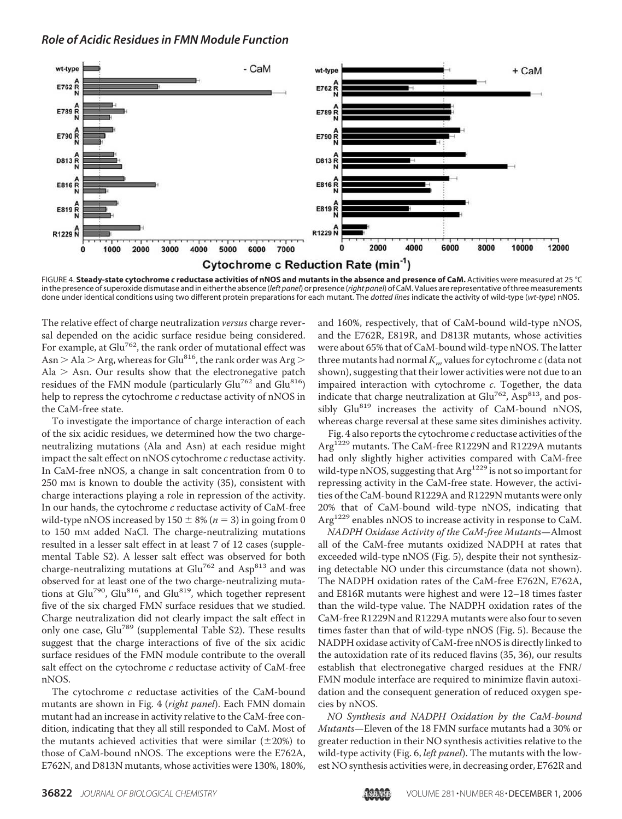

FIGURE 4. **Steady-state cytochrome** *c* **reductase activities of nNOS and mutants in the absence and presence of CaM.** Activities were measured at 25 °C in the presence of superoxide dismutase and in either the absence (*left panel*) or presence (*right panel*) of CaM. Values are representative of three measurements done under identical conditions using two different protein preparations for each mutant. The *dotted lines* indicate the activity of wild-type (*wt-type*) nNOS.

The relative effect of charge neutralization versus charge reversal depended on the acidic surface residue being considered. For example, at  $Glu^{762}$ , the rank order of mutational effect was Asn  $>$  Ala  $>$  Arg, whereas for Glu<sup>816</sup>, the rank order was Arg  $>$ Ala  $>$  Asn. Our results show that the electronegative patch residues of the FMN module (particularly  $Glu^{762}$  and  $Glu^{816}$ ) help to repress the cytochrome c reductase activity of nNOS in the CaM-free state.

To investigate the importance of charge interaction of each of the six acidic residues, we determined how the two chargeneutralizing mutations (Ala and Asn) at each residue might impact the salt effect on nNOS cytochrome c reductase activity. In CaM-free nNOS, a change in salt concentration from 0 to 250 mM is known to double the activity (35), consistent with charge interactions playing a role in repression of the activity. In our hands, the cytochrome c reductase activity of CaM-free wild-type nNOS increased by  $150 \pm 8\%$  ( $n = 3$ ) in going from 0 to 150 mM added NaCl. The charge-neutralizing mutations resulted in a lesser salt effect in at least 7 of 12 cases (supplemental Table S2). A lesser salt effect was observed for both charge-neutralizing mutations at  $Glu^{762}$  and Asp<sup>813</sup> and was observed for at least one of the two charge-neutralizing mutations at  $Glu^{790}$ ,  $Glu^{816}$ , and  $Glu^{819}$ , which together represent five of the six charged FMN surface residues that we studied. Charge neutralization did not clearly impact the salt effect in only one case, Glu<sup>789</sup> (supplemental Table S2). These results suggest that the charge interactions of five of the six acidic surface residues of the FMN module contribute to the overall salt effect on the cytochrome  $c$  reductase activity of CaM-free nNOS.

The cytochrome  $c$  reductase activities of the CaM-bound mutants are shown in Fig. 4 (right panel). Each FMN domain mutant had an increase in activity relative to the CaM-free condition, indicating that they all still responded to CaM. Most of the mutants achieved activities that were similar  $(\pm 20%)$  to those of CaM-bound nNOS. The exceptions were the E762A, E762N, and D813N mutants, whose activities were 130%, 180%, and 160%, respectively, that of CaM-bound wild-type nNOS, and the E762R, E819R, and D813R mutants, whose activities were about 65% that of CaM-bound wild-type nNOS. The latter three mutants had normal  $K_m$  values for cytochrome  $c$  (data not shown), suggesting that their lower activities were not due to an impaired interaction with cytochrome c. Together, the data indicate that charge neutralization at  $Glu^{762}$ , Asp<sup>813</sup>, and possibly Glu<sup>819</sup> increases the activity of CaM-bound nNOS, whereas charge reversal at these same sites diminishes activity.

Fig. 4 also reports the cytochrome  $c$  reductase activities of the Arg<sup>1229</sup> mutants. The CaM-free R1229N and R1229A mutants had only slightly higher activities compared with CaM-free wild-type nNOS, suggesting that Arg<sup>1229</sup> is not so important for repressing activity in the CaM-free state. However, the activities of the CaM-bound R1229A and R1229N mutants were only 20% that of CaM-bound wild-type nNOS, indicating that Arg<sup>1229</sup> enables nNOS to increase activity in response to CaM.

NADPH Oxidase Activity of the CaM-free Mutants—Almost all of the CaM-free mutants oxidized NADPH at rates that exceeded wild-type nNOS (Fig. 5), despite their not synthesizing detectable NO under this circumstance (data not shown). The NADPH oxidation rates of the CaM-free E762N, E762A, and E816R mutants were highest and were 12–18 times faster than the wild-type value. The NADPH oxidation rates of the CaM-free R1229N and R1229A mutants were also four to seven times faster than that of wild-type nNOS (Fig. 5). Because the NADPH oxidase activity of CaM-free nNOS is directly linked to the autoxidation rate of its reduced flavins (35, 36), our results establish that electronegative charged residues at the FNR/ FMN module interface are required to minimize flavin autoxidation and the consequent generation of reduced oxygen species by nNOS.

NO Synthesis and NADPH Oxidation by the CaM-bound Mutants—Eleven of the 18 FMN surface mutants had a 30% or greater reduction in their NO synthesis activities relative to the wild-type activity (Fig. 6, *left panel*). The mutants with the lowest NO synthesis activities were, in decreasing order, E762R and

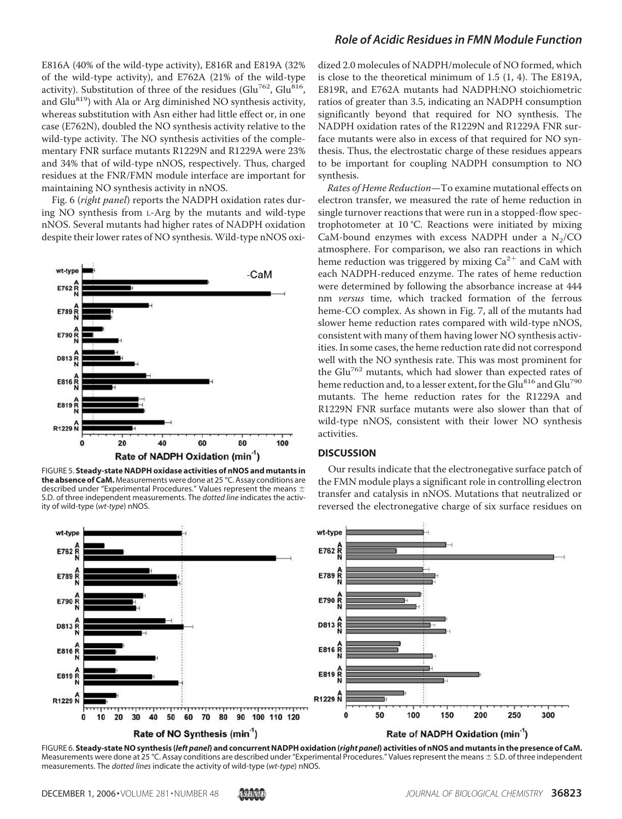E816A (40% of the wild-type activity), E816R and E819A (32% of the wild-type activity), and E762A (21% of the wild-type activity). Substitution of three of the residues (Glu<sup>762</sup>, Glu<sup>816</sup>, and Glu<sup>819</sup>) with Ala or Arg diminished NO synthesis activity, whereas substitution with Asn either had little effect or, in one case (E762N), doubled the NO synthesis activity relative to the wild-type activity. The NO synthesis activities of the complementary FNR surface mutants R1229N and R1229A were 23% and 34% that of wild-type nNOS, respectively. Thus, charged residues at the FNR/FMN module interface are important for maintaining NO synthesis activity in nNOS.

Fig. 6 (right panel) reports the NADPH oxidation rates during NO synthesis from L-Arg by the mutants and wild-type nNOS. Several mutants had higher rates of NADPH oxidation despite their lower rates of NO synthesis. Wild-type nNOS oxi-



FIGURE 5. **Steady-state NADPH oxidase activities of nNOS and mutants in the absence of CaM.** Measurements were done at 25 °C. Assay conditions are described under "Experimental Procedures." Values represent the means  $\pm$ S.D. of three independent measurements. The *dotted line* indicates the activity of wild-type (*wt-type*) nNOS.

# *Role of Acidic Residues in FMN Module Function*

dized 2.0 molecules of NADPH/molecule of NO formed, which is close to the theoretical minimum of 1.5 (1, 4). The E819A, E819R, and E762A mutants had NADPH:NO stoichiometric ratios of greater than 3.5, indicating an NADPH consumption significantly beyond that required for NO synthesis. The NADPH oxidation rates of the R1229N and R1229A FNR surface mutants were also in excess of that required for NO synthesis. Thus, the electrostatic charge of these residues appears to be important for coupling NADPH consumption to NO synthesis.

Rates of Heme Reduction—To examine mutational effects on electron transfer, we measured the rate of heme reduction in single turnover reactions that were run in a stopped-flow spectrophotometer at 10 °C. Reactions were initiated by mixing CaM-bound enzymes with excess NADPH under a  $N_2/CO$ atmosphere. For comparison, we also ran reactions in which heme reduction was triggered by mixing  $Ca^{2+}$  and  $CaM$  with each NADPH-reduced enzyme. The rates of heme reduction were determined by following the absorbance increase at 444 nm versus time, which tracked formation of the ferrous heme-CO complex. As shown in Fig. 7, all of the mutants had slower heme reduction rates compared with wild-type nNOS, consistent with many of them having lower NO synthesis activities. In some cases, the heme reduction rate did not correspond well with the NO synthesis rate. This was most prominent for the Glu<sup>762</sup> mutants, which had slower than expected rates of heme reduction and, to a lesser extent, for the Glu<sup>816</sup> and Glu<sup>790</sup> mutants. The heme reduction rates for the R1229A and R1229N FNR surface mutants were also slower than that of wild-type nNOS, consistent with their lower NO synthesis activities.

#### **DISCUSSION**

Our results indicate that the electronegative surface patch of the FMN module plays a significant role in controlling electron transfer and catalysis in nNOS. Mutations that neutralized or reversed the electronegative charge of six surface residues on



FIGURE 6. **Steady-state NO synthesis (***left panel***) and concurrent NADPH oxidation (***right panel***) activities of nNOS and mutants in the presence of CaM.** Measurements were done at 25 °C. Assay conditions are described under "Experimental Procedures." Values represent the means  $\pm$  S.D. of three independent measurements. The *dotted lines* indicate the activity of wild-type (*wt-type*) nNOS.

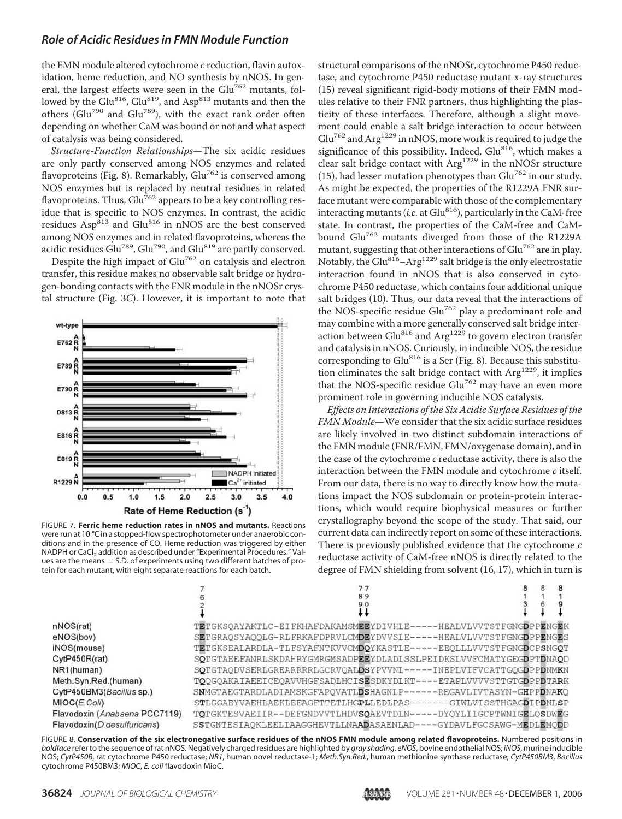the FMN module altered cytochrome c reduction, flavin autoxidation, heme reduction, and NO synthesis by nNOS. In general, the largest effects were seen in the  $Glu<sup>762</sup>$  mutants, followed by the Glu<sup>816</sup>, Glu<sup>819</sup>, and Asp<sup>813</sup> mutants and then the others (Glu<sup>790</sup> and Glu789), with the exact rank order often depending on whether CaM was bound or not and what aspect of catalysis was being considered.

Structure-Function Relationships—The six acidic residues are only partly conserved among NOS enzymes and related flavoproteins (Fig. 8). Remarkably,  $Glu^{762}$  is conserved among NOS enzymes but is replaced by neutral residues in related flavoproteins. Thus,  $Glu^{762}$  appears to be a key controlling residue that is specific to NOS enzymes. In contrast, the acidic residues  $\text{Asp}^{813}$  and  $\text{Glu}^{816}$  in nNOS are the best conserved among NOS enzymes and in related flavoproteins, whereas the acidic residues Glu<sup>789</sup>, Glu<sup>790</sup>, and Glu<sup>819</sup> are partly conserved.

Despite the high impact of Glu<sup>762</sup> on catalysis and electron transfer, this residue makes no observable salt bridge or hydrogen-bonding contacts with the FNR module in the nNOSr crystal structure (Fig. 3C). However, it is important to note that



FIGURE 7. **Ferric heme reduction rates in nNOS and mutants.** Reactions were run at 10 °C in a stopped-flow spectrophotometer under anaerobic conditions and in the presence of CO. Heme reduction was triggered by either NADPH or CaCl<sub>2</sub> addition as described under "Experimental Procedures." Values are the means  $\pm$  S.D. of experiments using two different batches of protein for each mutant, with eight separate reactions for each batch.

structural comparisons of the nNOSr, cytochrome P450 reductase, and cytochrome P450 reductase mutant x-ray structures (15) reveal significant rigid-body motions of their FMN modules relative to their FNR partners, thus highlighting the plasticity of these interfaces. Therefore, although a slight movement could enable a salt bridge interaction to occur between  $\mathrm{Glu}^{762}$  and  $\mathrm{Arg}^{1229}$  in nNOS, more work is required to judge the significance of this possibility. Indeed, Glu<sup>816</sup>, which makes a clear salt bridge contact with Arg<sup>1229</sup> in the nNOSr structure (15), had lesser mutation phenotypes than  $Glu^{762}$  in our study. As might be expected, the properties of the R1229A FNR surface mutant were comparable with those of the complementary interacting mutants (*i.e.* at Glu $^{816}$ ), particularly in the CaM-free state. In contrast, the properties of the CaM-free and CaMbound Glu<sup>762</sup> mutants diverged from those of the R1229A mutant, suggesting that other interactions of Glu<sup>762</sup> are in play. Notably, the Glu<sup>816</sup>-Arg<sup>1229</sup> salt bridge is the only electrostatic interaction found in nNOS that is also conserved in cytochrome P450 reductase, which contains four additional unique salt bridges (10). Thus, our data reveal that the interactions of the NOS-specific residue Glu<sup>762</sup> play a predominant role and may combine with a more generally conserved salt bridge interaction between Glu<sup>816</sup> and Arg<sup>1229</sup> to govern electron transfer and catalysis in nNOS. Curiously, in inducible NOS, the residue corresponding to  $Glu^{816}$  is a Ser (Fig. 8). Because this substitution eliminates the salt bridge contact with  $Arg<sup>1229</sup>$ , it implies that the NOS-specific residue  $Glu^{762}$  may have an even more prominent role in governing inducible NOS catalysis.

Effects on Interactions of the Six Acidic Surface Residues of the FMN Module—We consider that the six acidic surface residues are likely involved in two distinct subdomain interactions of the FMN module (FNR/FMN, FMN/oxygenase domain), and in the case of the cytochrome  $c$  reductase activity, there is also the interaction between the FMN module and cytochrome c itself. From our data, there is no way to directly know how the mutations impact the NOS subdomain or protein-protein interactions, which would require biophysical measures or further crystallography beyond the scope of the study. That said, our current data can indirectly report on some of these interactions. There is previously published evidence that the cytochrome c reductase activity of CaM-free nNOS is directly related to the degree of FMN shielding from solvent (16, 17), which in turn is

|                               | 89                                                                 |  |  |
|-------------------------------|--------------------------------------------------------------------|--|--|
|                               | 90                                                                 |  |  |
|                               |                                                                    |  |  |
| nNOS(rat)                     | TETGKSQAYAKTLC-EIFKHAFDAKAMSMEEYDIVHLE-----HEALVLVVTSTFGNGDPPENGEK |  |  |
| eNOS(bov)                     | SETGRAOSYAOOLG-RLFRKAFDPRVLCMDEYDVVSLE-----HEALVLVVTSTFGNGDPPENGES |  |  |
| iNOS(mouse)                   | TETGKSEALARDLA-TLFSYAFNTKVVCMDQYKASTLE-----EEOLLLVVTSTFGNGDCPSNGQT |  |  |
| CytP450R(rat)                 | SQTGTAEEFANRLSKDAHRYGMRGMSADPEEYDLADLSSLPEIDKSLVVFCMATYGEGDPTDNAQD |  |  |
| NR1(human)                    | SOTGTAODVSERLGREARRRRLGCRVOALDSYPVVNL-----INEPLVIFVCATTGOGDPPDNMKN |  |  |
| Meth.Syn.Red.(human)          | TOOGOAKAIAEEICEOAVVHGFSADLHCISESDKYDLKT----ETAPLVVVVSTTGTGDPPDTARK |  |  |
| CytP450BM3(Bacillus sp.)      | SNMGTAEGTARDLADIAMSKGFAPQVATLDSHAGNLP------REGAVLIVTASYN-GHPPDNAKO |  |  |
| MIOC(E.Coli)                  | STLGGAEYVAEHLAEKLEEAGFTTETLHGPLLEDLPAS-------GIWLVISSTHGAGDIPDNLSP |  |  |
| Flavodoxin (Anabaena PCC7119) | TOTGKTESVAEIIR--DEFGNDVVTLHDVSOAEVTDLN-----DYOYLIIGCPTWNIGELOSDWEG |  |  |
| Flavodoxin(D.desulfuricans)   | SSTGNTESIAOKLEELIAAGGHEVTLLNAADASAENLAD----GYDAVLFGCSAWG-MEDLEMODD |  |  |

FIGURE 8. **Conservation of the six electronegative surface residues of the nNOS FMN module among related flavoproteins.** Numbered positions in *boldface* refer to the sequence of rat nNOS. Negatively charged residues are highlighted by *gray shading*. *eNOS*, bovine endothelial NOS; *iNOS*, murine inducible NOS; *CytP450R*, rat cytochrome P450 reductase; *NR1*, human novel reductase-1; *Meth.Syn.Red.*, human methionine synthase reductase; *CytP450BM3*, *Bacillus* cytochrome P450BM3; *MIOC*, *E. coli* flavodoxin MioC.

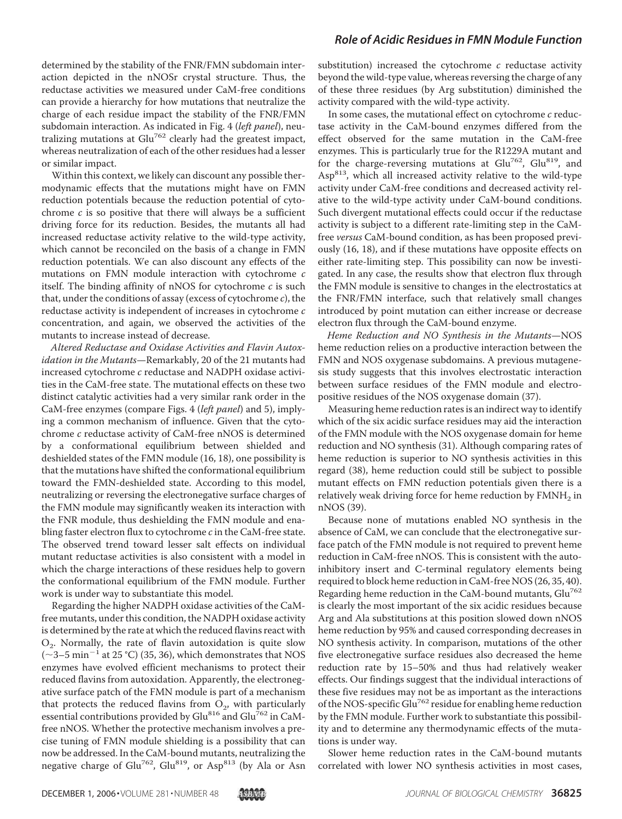determined by the stability of the FNR/FMN subdomain interaction depicted in the nNOSr crystal structure. Thus, the reductase activities we measured under CaM-free conditions can provide a hierarchy for how mutations that neutralize the charge of each residue impact the stability of the FNR/FMN subdomain interaction. As indicated in Fig. 4 (left panel), neutralizing mutations at  $Glu^{762}$  clearly had the greatest impact, whereas neutralization of each of the other residues had a lesser or similar impact.

Within this context, we likely can discount any possible thermodynamic effects that the mutations might have on FMN reduction potentials because the reduction potential of cytochrome  $c$  is so positive that there will always be a sufficient driving force for its reduction. Besides, the mutants all had increased reductase activity relative to the wild-type activity, which cannot be reconciled on the basis of a change in FMN reduction potentials. We can also discount any effects of the mutations on FMN module interaction with cytochrome c itself. The binding affinity of nNOS for cytochrome  $c$  is such that, under the conditions of assay (excess of cytochrome  $c$ ), the reductase activity is independent of increases in cytochrome c concentration, and again, we observed the activities of the mutants to increase instead of decrease.

Altered Reductase and Oxidase Activities and Flavin Autoxidation in the Mutants—Remarkably, 20 of the 21 mutants had increased cytochrome c reductase and NADPH oxidase activities in the CaM-free state. The mutational effects on these two distinct catalytic activities had a very similar rank order in the CaM-free enzymes (compare Figs. 4 (left panel) and 5), implying a common mechanism of influence. Given that the cytochrome c reductase activity of CaM-free nNOS is determined by a conformational equilibrium between shielded and deshielded states of the FMN module (16, 18), one possibility is that the mutations have shifted the conformational equilibrium toward the FMN-deshielded state. According to this model, neutralizing or reversing the electronegative surface charges of the FMN module may significantly weaken its interaction with the FNR module, thus deshielding the FMN module and enabling faster electron flux to cytochrome c in the CaM-free state. The observed trend toward lesser salt effects on individual mutant reductase activities is also consistent with a model in which the charge interactions of these residues help to govern the conformational equilibrium of the FMN module. Further work is under way to substantiate this model.

Regarding the higher NADPH oxidase activities of the CaMfree mutants, under this condition, the NADPH oxidase activity is determined by the rate at which the reduced flavins react with  $O_2$ . Normally, the rate of flavin autoxidation is quite slow  $\sim$  3–5 min<sup>-1</sup> at 25 °C) (35, 36), which demonstrates that NOS enzymes have evolved efficient mechanisms to protect their reduced flavins from autoxidation. Apparently, the electronegative surface patch of the FMN module is part of a mechanism that protects the reduced flavins from  $O_2$ , with particularly essential contributions provided by Glu<sup>816</sup> and Glu<sup>762</sup> in CaMfree nNOS. Whether the protective mechanism involves a precise tuning of FMN module shielding is a possibility that can now be addressed. In the CaM-bound mutants, neutralizing the negative charge of Glu<sup>762</sup>, Glu<sup>819</sup>, or Asp<sup>813</sup> (by Ala or Asn substitution) increased the cytochrome  $c$  reductase activity beyond the wild-type value, whereas reversing the charge of any of these three residues (by Arg substitution) diminished the activity compared with the wild-type activity.

In some cases, the mutational effect on cytochrome c reductase activity in the CaM-bound enzymes differed from the effect observed for the same mutation in the CaM-free enzymes. This is particularly true for the R1229A mutant and for the charge-reversing mutations at  $Glu^{762}$ ,  $Glu^{819}$ , and  $Asp<sup>813</sup>$ , which all increased activity relative to the wild-type activity under CaM-free conditions and decreased activity relative to the wild-type activity under CaM-bound conditions. Such divergent mutational effects could occur if the reductase activity is subject to a different rate-limiting step in the CaMfree versus CaM-bound condition, as has been proposed previously (16, 18), and if these mutations have opposite effects on either rate-limiting step. This possibility can now be investigated. In any case, the results show that electron flux through the FMN module is sensitive to changes in the electrostatics at the FNR/FMN interface, such that relatively small changes introduced by point mutation can either increase or decrease electron flux through the CaM-bound enzyme.

Heme Reduction and NO Synthesis in the Mutants—NOS heme reduction relies on a productive interaction between the FMN and NOS oxygenase subdomains. A previous mutagenesis study suggests that this involves electrostatic interaction between surface residues of the FMN module and electropositive residues of the NOS oxygenase domain (37).

Measuring heme reduction rates is an indirect way to identify which of the six acidic surface residues may aid the interaction of the FMN module with the NOS oxygenase domain for heme reduction and NO synthesis (31). Although comparing rates of heme reduction is superior to NO synthesis activities in this regard (38), heme reduction could still be subject to possible mutant effects on FMN reduction potentials given there is a relatively weak driving force for heme reduction by  $\mathrm{FMMH}_2$  in nNOS (39).

Because none of mutations enabled NO synthesis in the absence of CaM, we can conclude that the electronegative surface patch of the FMN module is not required to prevent heme reduction in CaM-free nNOS. This is consistent with the autoinhibitory insert and C-terminal regulatory elements being required to block heme reduction in CaM-free NOS (26, 35, 40). Regarding heme reduction in the CaM-bound mutants, Glu<sup>762</sup> is clearly the most important of the six acidic residues because Arg and Ala substitutions at this position slowed down nNOS heme reduction by 95% and caused corresponding decreases in NO synthesis activity. In comparison, mutations of the other five electronegative surface residues also decreased the heme reduction rate by 15–50% and thus had relatively weaker effects. Our findings suggest that the individual interactions of these five residues may not be as important as the interactions of the NOS-specific Glu<sup>762</sup> residue for enabling heme reduction by the FMN module. Further work to substantiate this possibility and to determine any thermodynamic effects of the mutations is under way.

Slower heme reduction rates in the CaM-bound mutants correlated with lower NO synthesis activities in most cases,

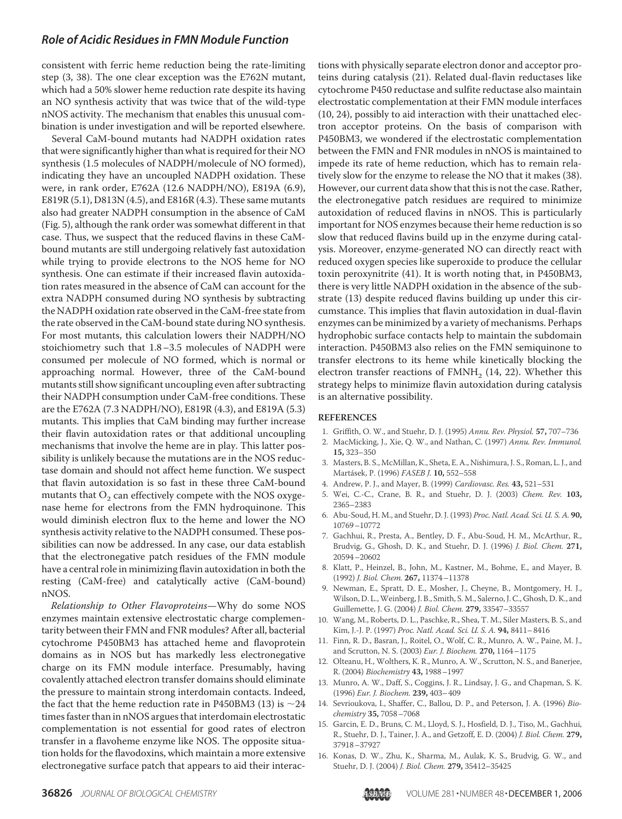consistent with ferric heme reduction being the rate-limiting step (3, 38). The one clear exception was the E762N mutant, which had a 50% slower heme reduction rate despite its having an NO synthesis activity that was twice that of the wild-type nNOS activity. The mechanism that enables this unusual combination is under investigation and will be reported elsewhere.

Several CaM-bound mutants had NADPH oxidation rates that were significantly higher than what is required for their NO synthesis (1.5 molecules of NADPH/molecule of NO formed), indicating they have an uncoupled NADPH oxidation. These were, in rank order, E762A (12.6 NADPH/NO), E819A (6.9), E819R (5.1), D813N (4.5), and E816R (4.3). These same mutants also had greater NADPH consumption in the absence of CaM (Fig. 5), although the rank order was somewhat different in that case. Thus, we suspect that the reduced flavins in these CaMbound mutants are still undergoing relatively fast autoxidation while trying to provide electrons to the NOS heme for NO synthesis. One can estimate if their increased flavin autoxidation rates measured in the absence of CaM can account for the extra NADPH consumed during NO synthesis by subtracting the NADPH oxidation rate observed in the CaM-free state from the rate observed in the CaM-bound state during NO synthesis. For most mutants, this calculation lowers their NADPH/NO stoichiometry such that 1.8–3.5 molecules of NADPH were consumed per molecule of NO formed, which is normal or approaching normal. However, three of the CaM-bound mutants still show significant uncoupling even after subtracting their NADPH consumption under CaM-free conditions. These are the E762A (7.3 NADPH/NO), E819R (4.3), and E819A (5.3) mutants. This implies that CaM binding may further increase their flavin autoxidation rates or that additional uncoupling mechanisms that involve the heme are in play. This latter possibility is unlikely because the mutations are in the NOS reductase domain and should not affect heme function. We suspect that flavin autoxidation is so fast in these three CaM-bound mutants that  $\mathrm{O}_2$  can effectively compete with the NOS oxygenase heme for electrons from the FMN hydroquinone. This would diminish electron flux to the heme and lower the NO synthesis activity relative to the NADPH consumed. These possibilities can now be addressed. In any case, our data establish that the electronegative patch residues of the FMN module have a central role in minimizing flavin autoxidation in both the resting (CaM-free) and catalytically active (CaM-bound) nNOS.

Relationship to Other Flavoproteins—Why do some NOS enzymes maintain extensive electrostatic charge complementarity between their FMN and FNR modules? After all, bacterial cytochrome P450BM3 has attached heme and flavoprotein domains as in NOS but has markedly less electronegative charge on its FMN module interface. Presumably, having covalently attached electron transfer domains should eliminate the pressure to maintain strong interdomain contacts. Indeed, the fact that the heme reduction rate in P450BM3 (13) is  $\sim$ 24 times faster than in nNOS argues that interdomain electrostatic complementation is not essential for good rates of electron transfer in a flavoheme enzyme like NOS. The opposite situation holds for the flavodoxins, which maintain a more extensive electronegative surface patch that appears to aid their interactions with physically separate electron donor and acceptor proteins during catalysis (21). Related dual-flavin reductases like cytochrome P450 reductase and sulfite reductase also maintain electrostatic complementation at their FMN module interfaces (10, 24), possibly to aid interaction with their unattached electron acceptor proteins. On the basis of comparison with P450BM3, we wondered if the electrostatic complementation between the FMN and FNR modules in nNOS is maintained to impede its rate of heme reduction, which has to remain relatively slow for the enzyme to release the NO that it makes (38). However, our current data show that this is not the case. Rather, the electronegative patch residues are required to minimize autoxidation of reduced flavins in nNOS. This is particularly important for NOS enzymes because their heme reduction is so slow that reduced flavins build up in the enzyme during catalysis. Moreover, enzyme-generated NO can directly react with reduced oxygen species like superoxide to produce the cellular toxin peroxynitrite (41). It is worth noting that, in P450BM3, there is very little NADPH oxidation in the absence of the substrate (13) despite reduced flavins building up under this circumstance. This implies that flavin autoxidation in dual-flavin enzymes can be minimized by a variety of mechanisms. Perhaps hydrophobic surface contacts help to maintain the subdomain interaction. P450BM3 also relies on the FMN semiquinone to transfer electrons to its heme while kinetically blocking the electron transfer reactions of  $FMMH_2$  (14, 22). Whether this strategy helps to minimize flavin autoxidation during catalysis is an alternative possibility.

#### **REFERENCES**

- 1. Griffith, O. W., and Stuehr, D. J. (1995) Annu. Rev. Physiol. **57,** 707–736
- 2. MacMicking, J., Xie, Q. W., and Nathan, C. (1997) Annu. Rev. Immunol. **15,** 323–350
- 3. Masters, B. S., McMillan, K., Sheta, E. A., Nishimura, J. S., Roman, L. J., and Marta´sek, P. (1996) FASEB J. **10,** 552–558
- 4. Andrew, P. J., and Mayer, B. (1999) Cardiovasc. Res. **43,** 521–531
- 5. Wei, C.-C., Crane, B. R., and Stuehr, D. J. (2003) Chem. Rev. **103,** 2365–2383
- 6. Abu-Soud, H. M., and Stuehr, D. J. (1993) Proc. Natl. Acad. Sci. U. S. A. **90,** 10769–10772
- 7. Gachhui, R., Presta, A., Bentley, D. F., Abu-Soud, H. M., McArthur, R., Brudvig, G., Ghosh, D. K., and Stuehr, D. J. (1996) J. Biol. Chem. **271,** 20594–20602
- 8. Klatt, P., Heinzel, B., John, M., Kastner, M., Bohme, E., and Mayer, B. (1992) J. Biol. Chem. **267,** 11374–11378
- 9. Newman, E., Spratt, D. E., Mosher, J., Cheyne, B., Montgomery, H. J., Wilson, D. L.,Weinberg, J. B., Smith, S. M., Salerno, J. C., Ghosh, D. K., and Guillemette, J. G. (2004) J. Biol. Chem. **279,** 33547–33557
- 10. Wang, M., Roberts, D. L., Paschke, R., Shea, T. M., Siler Masters, B. S., and Kim, J.-J. P. (1997) Proc. Natl. Acad. Sci. U. S. A. **94,** 8411–8416
- 11. Finn, R. D., Basran, J., Roitel, O., Wolf, C. R., Munro, A. W., Paine, M. J., and Scrutton, N. S. (2003) Eur. J. Biochem. **270,** 1164–1175
- 12. Olteanu, H., Wolthers, K. R., Munro, A. W., Scrutton, N. S., and Banerjee, R. (2004) Biochemistry **43,** 1988–1997
- 13. Munro, A. W., Daff, S., Coggins, J. R., Lindsay, J. G., and Chapman, S. K. (1996) Eur. J. Biochem. **239,** 403–409
- 14. Sevrioukova, I., Shaffer, C., Ballou, D. P., and Peterson, J. A. (1996) Biochemistry **35,** 7058–7068
- 15. Garcin, E. D., Bruns, C. M., Lloyd, S. J., Hosfield, D. J., Tiso, M., Gachhui, R., Stuehr, D. J., Tainer, J. A., and Getzoff, E. D. (2004) J. Biol. Chem. **279,** 37918–37927
- 16. Konas, D. W., Zhu, K., Sharma, M., Aulak, K. S., Brudvig, G. W., and Stuehr, D. J. (2004) J. Biol. Chem. **279,** 35412–35425